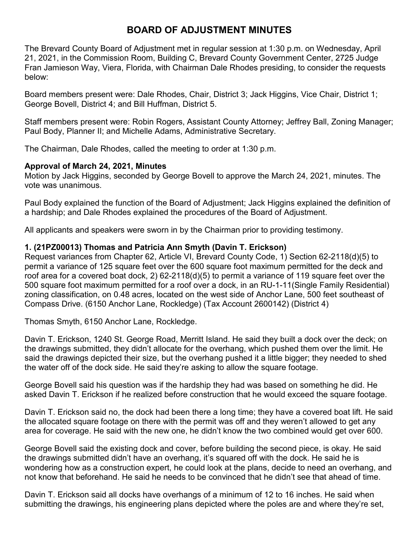# **BOARD OF ADJUSTMENT MINUTES**

The Brevard County Board of Adjustment met in regular session at 1:30 p.m. on Wednesday, April 21, 2021, in the Commission Room, Building C, Brevard County Government Center, 2725 Judge Fran Jamieson Way, Viera, Florida, with Chairman Dale Rhodes presiding, to consider the requests below:

Board members present were: Dale Rhodes, Chair, District 3; Jack Higgins, Vice Chair, District 1; George Bovell, District 4; and Bill Huffman, District 5.

Staff members present were: Robin Rogers, Assistant County Attorney; Jeffrey Ball, Zoning Manager; Paul Body, Planner II; and Michelle Adams, Administrative Secretary.

The Chairman, Dale Rhodes, called the meeting to order at 1:30 p.m.

## **Approval of March 24, 2021, Minutes**

Motion by Jack Higgins, seconded by George Bovell to approve the March 24, 2021, minutes. The vote was unanimous.

Paul Body explained the function of the Board of Adjustment; Jack Higgins explained the definition of a hardship; and Dale Rhodes explained the procedures of the Board of Adjustment.

All applicants and speakers were sworn in by the Chairman prior to providing testimony.

## **1. (21PZ00013) Thomas and Patricia Ann Smyth (Davin T. Erickson)**

Request variances from Chapter 62, Article VI, Brevard County Code, 1) Section 62-2118(d)(5) to permit a variance of 125 square feet over the 600 square foot maximum permitted for the deck and roof area for a covered boat dock, 2) 62-2118(d)(5) to permit a variance of 119 square feet over the 500 square foot maximum permitted for a roof over a dock, in an RU-1-11(Single Family Residential) zoning classification, on 0.48 acres, located on the west side of Anchor Lane, 500 feet southeast of Compass Drive. (6150 Anchor Lane, Rockledge) (Tax Account 2600142) (District 4)

Thomas Smyth, 6150 Anchor Lane, Rockledge.

Davin T. Erickson, 1240 St. George Road, Merritt Island. He said they built a dock over the deck; on the drawings submitted, they didn't allocate for the overhang, which pushed them over the limit. He said the drawings depicted their size, but the overhang pushed it a little bigger; they needed to shed the water off of the dock side. He said they're asking to allow the square footage.

George Bovell said his question was if the hardship they had was based on something he did. He asked Davin T. Erickson if he realized before construction that he would exceed the square footage.

Davin T. Erickson said no, the dock had been there a long time; they have a covered boat lift. He said the allocated square footage on there with the permit was off and they weren't allowed to get any area for coverage. He said with the new one, he didn't know the two combined would get over 600.

George Bovell said the existing dock and cover, before building the second piece, is okay. He said the drawings submitted didn't have an overhang, it's squared off with the dock. He said he is wondering how as a construction expert, he could look at the plans, decide to need an overhang, and not know that beforehand. He said he needs to be convinced that he didn't see that ahead of time.

Davin T. Erickson said all docks have overhangs of a minimum of 12 to 16 inches. He said when submitting the drawings, his engineering plans depicted where the poles are and where they're set,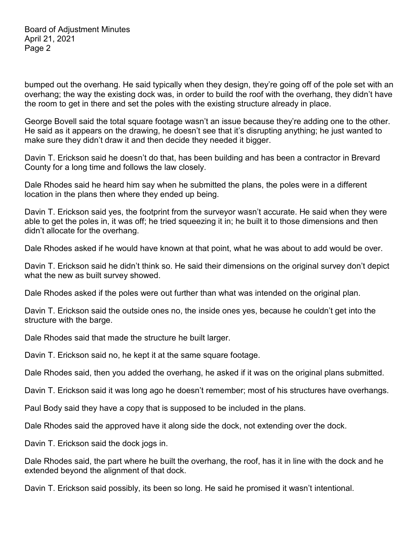bumped out the overhang. He said typically when they design, they're going off of the pole set with an overhang; the way the existing dock was, in order to build the roof with the overhang, they didn't have the room to get in there and set the poles with the existing structure already in place.

George Bovell said the total square footage wasn't an issue because they're adding one to the other. He said as it appears on the drawing, he doesn't see that it's disrupting anything; he just wanted to make sure they didn't draw it and then decide they needed it bigger.

Davin T. Erickson said he doesn't do that, has been building and has been a contractor in Brevard County for a long time and follows the law closely.

Dale Rhodes said he heard him say when he submitted the plans, the poles were in a different location in the plans then where they ended up being.

Davin T. Erickson said yes, the footprint from the surveyor wasn't accurate. He said when they were able to get the poles in, it was off; he tried squeezing it in; he built it to those dimensions and then didn't allocate for the overhang.

Dale Rhodes asked if he would have known at that point, what he was about to add would be over.

Davin T. Erickson said he didn't think so. He said their dimensions on the original survey don't depict what the new as built survey showed.

Dale Rhodes asked if the poles were out further than what was intended on the original plan.

Davin T. Erickson said the outside ones no, the inside ones yes, because he couldn't get into the structure with the barge.

Dale Rhodes said that made the structure he built larger.

Davin T. Erickson said no, he kept it at the same square footage.

Dale Rhodes said, then you added the overhang, he asked if it was on the original plans submitted.

Davin T. Erickson said it was long ago he doesn't remember; most of his structures have overhangs.

Paul Body said they have a copy that is supposed to be included in the plans.

Dale Rhodes said the approved have it along side the dock, not extending over the dock.

Davin T. Erickson said the dock jogs in.

Dale Rhodes said, the part where he built the overhang, the roof, has it in line with the dock and he extended beyond the alignment of that dock.

Davin T. Erickson said possibly, its been so long. He said he promised it wasn't intentional.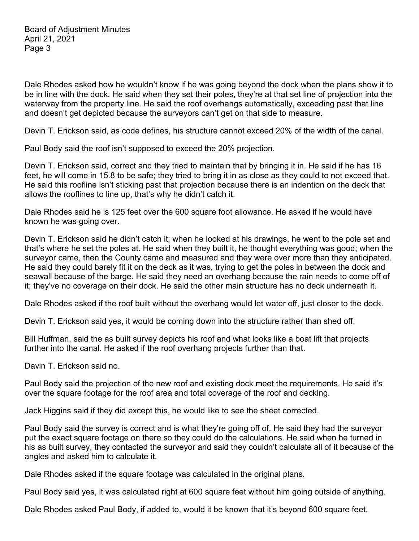Dale Rhodes asked how he wouldn't know if he was going beyond the dock when the plans show it to be in line with the dock. He said when they set their poles, they're at that set line of projection into the waterway from the property line. He said the roof overhangs automatically, exceeding past that line and doesn't get depicted because the surveyors can't get on that side to measure.

Devin T. Erickson said, as code defines, his structure cannot exceed 20% of the width of the canal.

Paul Body said the roof isn't supposed to exceed the 20% projection.

Devin T. Erickson said, correct and they tried to maintain that by bringing it in. He said if he has 16 feet, he will come in 15.8 to be safe; they tried to bring it in as close as they could to not exceed that. He said this roofline isn't sticking past that projection because there is an indention on the deck that allows the rooflines to line up, that's why he didn't catch it.

Dale Rhodes said he is 125 feet over the 600 square foot allowance. He asked if he would have known he was going over.

Devin T. Erickson said he didn't catch it; when he looked at his drawings, he went to the pole set and that's where he set the poles at. He said when they built it, he thought everything was good; when the surveyor came, then the County came and measured and they were over more than they anticipated. He said they could barely fit it on the deck as it was, trying to get the poles in between the dock and seawall because of the barge. He said they need an overhang because the rain needs to come off of it; they've no coverage on their dock. He said the other main structure has no deck underneath it.

Dale Rhodes asked if the roof built without the overhang would let water off, just closer to the dock.

Devin T. Erickson said yes, it would be coming down into the structure rather than shed off.

Bill Huffman, said the as built survey depicts his roof and what looks like a boat lift that projects further into the canal. He asked if the roof overhang projects further than that.

Davin T. Erickson said no.

Paul Body said the projection of the new roof and existing dock meet the requirements. He said it's over the square footage for the roof area and total coverage of the roof and decking.

Jack Higgins said if they did except this, he would like to see the sheet corrected.

Paul Body said the survey is correct and is what they're going off of. He said they had the surveyor put the exact square footage on there so they could do the calculations. He said when he turned in his as built survey, they contacted the surveyor and said they couldn't calculate all of it because of the angles and asked him to calculate it.

Dale Rhodes asked if the square footage was calculated in the original plans.

Paul Body said yes, it was calculated right at 600 square feet without him going outside of anything.

Dale Rhodes asked Paul Body, if added to, would it be known that it's beyond 600 square feet.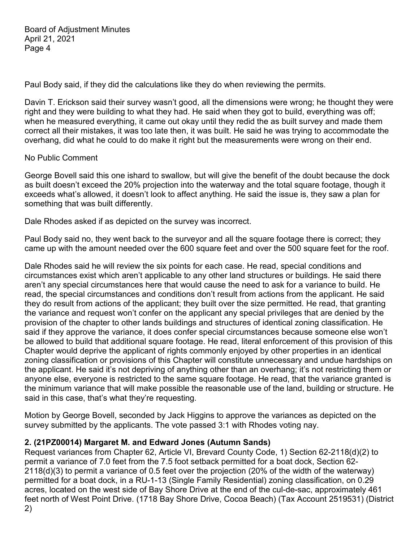Paul Body said, if they did the calculations like they do when reviewing the permits.

Davin T. Erickson said their survey wasn't good, all the dimensions were wrong; he thought they were right and they were building to what they had. He said when they got to build, everything was off; when he measured everything, it came out okay until they redid the as built survey and made them correct all their mistakes, it was too late then, it was built. He said he was trying to accommodate the overhang, did what he could to do make it right but the measurements were wrong on their end.

### No Public Comment

George Bovell said this one ishard to swallow, but will give the benefit of the doubt because the dock as built doesn't exceed the 20% projection into the waterway and the total square footage, though it exceeds what's allowed, it doesn't look to affect anything. He said the issue is, they saw a plan for something that was built differently.

Dale Rhodes asked if as depicted on the survey was incorrect.

Paul Body said no, they went back to the surveyor and all the square footage there is correct; they came up with the amount needed over the 600 square feet and over the 500 square feet for the roof.

Dale Rhodes said he will review the six points for each case. He read, special conditions and circumstances exist which aren't applicable to any other land structures or buildings. He said there aren't any special circumstances here that would cause the need to ask for a variance to build. He read, the special circumstances and conditions don't result from actions from the applicant. He said they do result from actions of the applicant; they built over the size permitted. He read, that granting the variance and request won't confer on the applicant any special privileges that are denied by the provision of the chapter to other lands buildings and structures of identical zoning classification. He said if they approve the variance, it does confer special circumstances because someone else won't be allowed to build that additional square footage. He read, literal enforcement of this provision of this Chapter would deprive the applicant of rights commonly enjoyed by other properties in an identical zoning classification or provisions of this Chapter will constitute unnecessary and undue hardships on the applicant. He said it's not depriving of anything other than an overhang; it's not restricting them or anyone else, everyone is restricted to the same square footage. He read, that the variance granted is the minimum variance that will make possible the reasonable use of the land, building or structure. He said in this case, that's what they're requesting.

Motion by George Bovell, seconded by Jack Higgins to approve the variances as depicted on the survey submitted by the applicants. The vote passed 3:1 with Rhodes voting nay.

## **2. (21PZ00014) Margaret M. and Edward Jones (Autumn Sands)**

Request variances from Chapter 62, Article VI, Brevard County Code, 1) Section 62-2118(d)(2) to permit a variance of 7.0 feet from the 7.5 foot setback permitted for a boat dock, Section 62- 2118(d)(3) to permit a variance of 0.5 feet over the projection (20% of the width of the waterway) permitted for a boat dock, in a RU-1-13 (Single Family Residential) zoning classification, on 0.29 acres, located on the west side of Bay Shore Drive at the end of the cul-de-sac, approximately 461 feet north of West Point Drive. (1718 Bay Shore Drive, Cocoa Beach) (Tax Account 2519531) (District 2)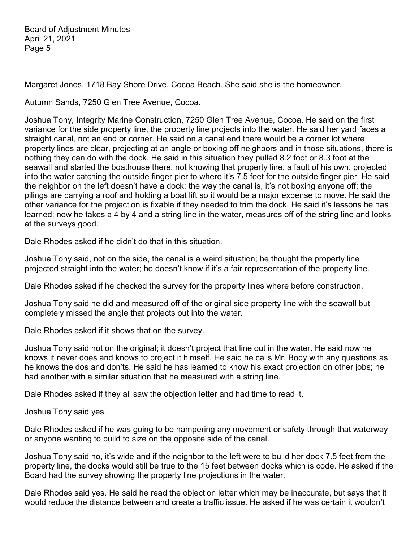Margaret Jones, 1718 Bay Shore Drive, Cocoa Beach. She said she is the homeowner.

Autumn Sands, 7250 Glen Tree Avenue, Cocoa.

Joshua Tony, Integrity Marine Construction, 7250 Glen Tree Avenue, Cocoa. He said on the first variance for the side property line, the property line projects into the water. He said her yard faces a straight canal, not an end or corner. He said on a canal end there would be a corner lot where property lines are clear, projecting at an angle or boxing off neighbors and in those situations, there is nothing they can do with the dock. He said in this situation they pulled 8.2 foot or 8.3 foot at the seawall and started the boathouse there, not knowing that property line, a fault of his own, projected into the water catching the outside finger pier to where it's 7.5 feet for the outside finger pier. He said the neighbor on the left doesn't have a dock; the way the canal is, it's not boxing anyone off; the pilings are carrying a roof and holding a boat lift so it would be a major expense to move. He said the other variance for the projection is fixable if they needed to trim the dock. He said it's lessons he has learned; now he takes a 4 by 4 and a string line in the water, measures off of the string line and looks at the surveys good.

Dale Rhodes asked if he didn't do that in this situation.

Joshua Tony said, not on the side, the canal is a weird situation; he thought the property line projected straight into the water; he doesn't know if it's a fair representation of the property line.

Dale Rhodes asked if he checked the survey for the property lines where before construction.

Joshua Tony said he did and measured off of the original side property line with the seawall but completely missed the angle that projects out into the water.

Dale Rhodes asked if it shows that on the survey.

Joshua Tony said not on the original; it doesn't project that line out in the water. He said now he knows it never does and knows to project it himself. He said he calls Mr. Body with any questions as he knows the dos and don'ts. He said he has learned to know his exact projection on other jobs; he had another with a similar situation that he measured with a string line.

Dale Rhodes asked if they all saw the objection letter and had time to read it.

Joshua Tony said yes.

Dale Rhodes asked if he was going to be hampering any movement or safety through that waterway or anyone wanting to build to size on the opposite side of the canal.

Joshua Tony said no, it's wide and if the neighbor to the left were to build her dock 7.5 feet from the property line, the docks would still be true to the 15 feet between docks which is code. He asked if the Board had the survey showing the property line projections in the water.

Dale Rhodes said yes. He said he read the objection letter which may be inaccurate, but says that it would reduce the distance between and create a traffic issue. He asked if he was certain it wouldn't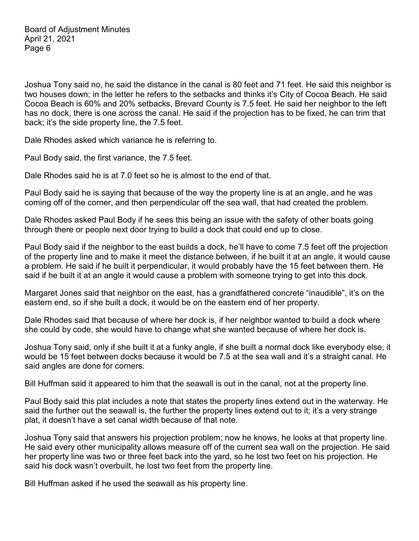Joshua Tony said no, he said the distance in the canal is 80 feet and 71 feet. He said this neighbor is two houses down; in the letter he refers to the setbacks and thinks it's City of Cocoa Beach. He said Cocoa Beach is 60% and 20% setbacks, Brevard County is 7.5 feet. He said her neighbor to the left has no dock, there is one across the canal. He said if the projection has to be fixed, he can trim that back; it's the side property line, the 7.5 feet.

Dale Rhodes asked which variance he is referring to.

Paul Body said, the first variance, the 7.5 feet.

Dale Rhodes said he is at 7.0 feet so he is almost to the end of that.

Paul Body said he is saying that because of the way the property line is at an angle, and he was coming off of the corner, and then perpendicular off the sea wall, that had created the problem.

Dale Rhodes asked Paul Body if he sees this being an issue with the safety of other boats going through there or people next door trying to build a dock that could end up to close.

Paul Body said if the neighbor to the east builds a dock, he'll have to come 7.5 feet off the projection of the property line and to make it meet the distance between, if he built it at an angle, it would cause a problem. He said if he built it perpendicular, it would probably have the 15 feet between them. He said if he built it at an angle it would cause a problem with someone trying to get into this dock.

Margaret Jones said that neighbor on the east, has a grandfathered concrete "inaudible", it's on the eastern end, so if she built a dock, it would be on the eastern end of her property.

Dale Rhodes said that because of where her dock is, if her neighbor wanted to build a dock where she could by code, she would have to change what she wanted because of where her dock is.

Joshua Tony said, only if she built it at a funky angle, if she built a normal dock like everybody else, it would be 15 feet between docks because it would be 7.5 at the sea wall and it's a straight canal. He said angles are done for corners.

Bill Huffman said it appeared to him that the seawall is out in the canal, not at the property line.

Paul Body said this plat includes a note that states the property lines extend out in the waterway. He said the further out the seawall is, the further the property lines extend out to it; it's a very strange plat, it doesn't have a set canal width because of that note.

Joshua Tony said that answers his projection problem; now he knows, he looks at that property line. He said every other municipality allows measure off of the current sea wall on the projection. He said her property line was two or three feet back into the yard, so he lost two feet on his projection. He said his dock wasn't overbuilt, he lost two feet from the property line.

Bill Huffman asked if he used the seawall as his property line.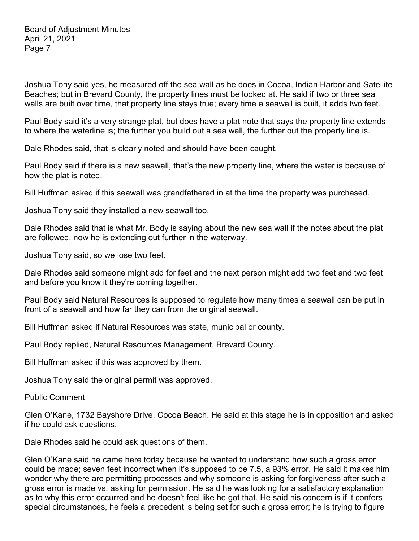Joshua Tony said yes, he measured off the sea wall as he does in Cocoa, Indian Harbor and Satellite Beaches; but in Brevard County, the property lines must be looked at. He said if two or three sea walls are built over time, that property line stays true; every time a seawall is built, it adds two feet.

Paul Body said it's a very strange plat, but does have a plat note that says the property line extends to where the waterline is; the further you build out a sea wall, the further out the property line is.

Dale Rhodes said, that is clearly noted and should have been caught.

Paul Body said if there is a new seawall, that's the new property line, where the water is because of how the plat is noted.

Bill Huffman asked if this seawall was grandfathered in at the time the property was purchased.

Joshua Tony said they installed a new seawall too.

Dale Rhodes said that is what Mr. Body is saying about the new sea wall if the notes about the plat are followed, now he is extending out further in the waterway.

Joshua Tony said, so we lose two feet.

Dale Rhodes said someone might add for feet and the next person might add two feet and two feet and before you know it they're coming together.

Paul Body said Natural Resources is supposed to regulate how many times a seawall can be put in front of a seawall and how far they can from the original seawall.

Bill Huffman asked if Natural Resources was state, municipal or county.

Paul Body replied, Natural Resources Management, Brevard County.

Bill Huffman asked if this was approved by them.

Joshua Tony said the original permit was approved.

Public Comment

Glen O'Kane, 1732 Bayshore Drive, Cocoa Beach. He said at this stage he is in opposition and asked if he could ask questions.

Dale Rhodes said he could ask questions of them.

Glen O'Kane said he came here today because he wanted to understand how such a gross error could be made; seven feet incorrect when it's supposed to be 7.5, a 93% error. He said it makes him wonder why there are permitting processes and why someone is asking for forgiveness after such a gross error is made vs. asking for permission. He said he was looking for a satisfactory explanation as to why this error occurred and he doesn't feel like he got that. He said his concern is if it confers special circumstances, he feels a precedent is being set for such a gross error; he is trying to figure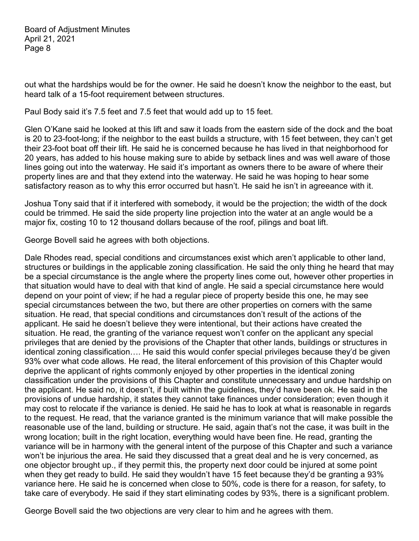out what the hardships would be for the owner. He said he doesn't know the neighbor to the east, but heard talk of a 15-foot requirement between structures.

Paul Body said it's 7.5 feet and 7.5 feet that would add up to 15 feet.

Glen O'Kane said he looked at this lift and saw it loads from the eastern side of the dock and the boat is 20 to 23-foot-long; if the neighbor to the east builds a structure, with 15 feet between, they can't get their 23-foot boat off their lift. He said he is concerned because he has lived in that neighborhood for 20 years, has added to his house making sure to abide by setback lines and was well aware of those lines going out into the waterway. He said it's important as owners there to be aware of where their property lines are and that they extend into the waterway. He said he was hoping to hear some satisfactory reason as to why this error occurred but hasn't. He said he isn't in agreeance with it.

Joshua Tony said that if it interfered with somebody, it would be the projection; the width of the dock could be trimmed. He said the side property line projection into the water at an angle would be a major fix, costing 10 to 12 thousand dollars because of the roof, pilings and boat lift.

George Bovell said he agrees with both objections.

Dale Rhodes read, special conditions and circumstances exist which aren't applicable to other land, structures or buildings in the applicable zoning classification. He said the only thing he heard that may be a special circumstance is the angle where the property lines come out, however other properties in that situation would have to deal with that kind of angle. He said a special circumstance here would depend on your point of view; if he had a regular piece of property beside this one, he may see special circumstances between the two, but there are other properties on corners with the same situation. He read, that special conditions and circumstances don't result of the actions of the applicant. He said he doesn't believe they were intentional, but their actions have created the situation. He read, the granting of the variance request won't confer on the applicant any special privileges that are denied by the provisions of the Chapter that other lands, buildings or structures in identical zoning classification…. He said this would confer special privileges because they'd be given 93% over what code allows. He read, the literal enforcement of this provision of this Chapter would deprive the applicant of rights commonly enjoyed by other properties in the identical zoning classification under the provisions of this Chapter and constitute unnecessary and undue hardship on the applicant. He said no, it doesn't, if built within the guidelines, they'd have been ok. He said in the provisions of undue hardship, it states they cannot take finances under consideration; even though it may cost to relocate if the variance is denied. He said he has to look at what is reasonable in regards to the request. He read, that the variance granted is the minimum variance that will make possible the reasonable use of the land, building or structure. He said, again that's not the case, it was built in the wrong location; built in the right location, everything would have been fine. He read, granting the variance will be in harmony with the general intent of the purpose of this Chapter and such a variance won't be injurious the area. He said they discussed that a great deal and he is very concerned, as one objector brought up., if they permit this, the property next door could be injured at some point when they get ready to build. He said they wouldn't have 15 feet because they'd be granting a 93% variance here. He said he is concerned when close to 50%, code is there for a reason, for safety, to take care of everybody. He said if they start eliminating codes by 93%, there is a significant problem.

George Bovell said the two objections are very clear to him and he agrees with them.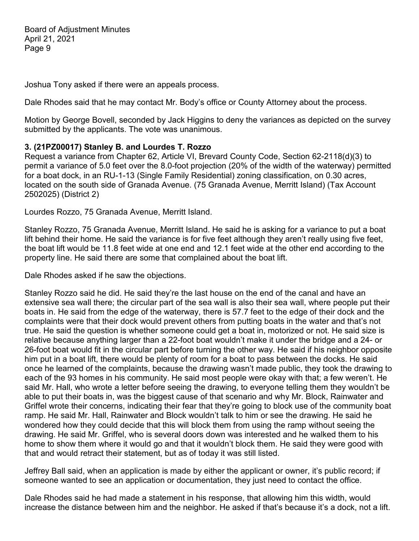Joshua Tony asked if there were an appeals process.

Dale Rhodes said that he may contact Mr. Body's office or County Attorney about the process.

Motion by George Bovell, seconded by Jack Higgins to deny the variances as depicted on the survey submitted by the applicants. The vote was unanimous.

#### **3. (21PZ00017) Stanley B. and Lourdes T. Rozzo**

Request a variance from Chapter 62, Article VI, Brevard County Code, Section 62-2118(d)(3) to permit a variance of 5.0 feet over the 8.0-foot projection (20% of the width of the waterway) permitted for a boat dock, in an RU-1-13 (Single Family Residential) zoning classification, on 0.30 acres, located on the south side of Granada Avenue. (75 Granada Avenue, Merritt Island) (Tax Account 2502025) (District 2)

Lourdes Rozzo, 75 Granada Avenue, Merritt Island.

Stanley Rozzo, 75 Granada Avenue, Merritt Island. He said he is asking for a variance to put a boat lift behind their home. He said the variance is for five feet although they aren't really using five feet, the boat lift would be 11.8 feet wide at one end and 12.1 feet wide at the other end according to the property line. He said there are some that complained about the boat lift.

Dale Rhodes asked if he saw the objections.

Stanley Rozzo said he did. He said they're the last house on the end of the canal and have an extensive sea wall there; the circular part of the sea wall is also their sea wall, where people put their boats in. He said from the edge of the waterway, there is 57.7 feet to the edge of their dock and the complaints were that their dock would prevent others from putting boats in the water and that's not true. He said the question is whether someone could get a boat in, motorized or not. He said size is relative because anything larger than a 22-foot boat wouldn't make it under the bridge and a 24- or 26-foot boat would fit in the circular part before turning the other way. He said if his neighbor opposite him put in a boat lift, there would be plenty of room for a boat to pass between the docks. He said once he learned of the complaints, because the drawing wasn't made public, they took the drawing to each of the 93 homes in his community. He said most people were okay with that; a few weren't. He said Mr. Hall, who wrote a letter before seeing the drawing, to everyone telling them they wouldn't be able to put their boats in, was the biggest cause of that scenario and why Mr. Block, Rainwater and Griffel wrote their concerns, indicating their fear that they're going to block use of the community boat ramp. He said Mr. Hall, Rainwater and Block wouldn't talk to him or see the drawing. He said he wondered how they could decide that this will block them from using the ramp without seeing the drawing. He said Mr. Griffel, who is several doors down was interested and he walked them to his home to show them where it would go and that it wouldn't block them. He said they were good with that and would retract their statement, but as of today it was still listed.

Jeffrey Ball said, when an application is made by either the applicant or owner, it's public record; if someone wanted to see an application or documentation, they just need to contact the office.

Dale Rhodes said he had made a statement in his response, that allowing him this width, would increase the distance between him and the neighbor. He asked if that's because it's a dock, not a lift.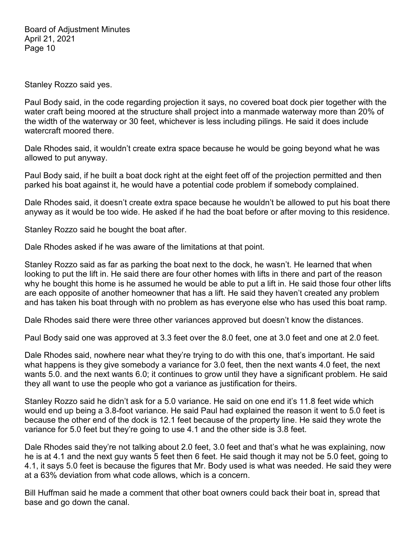Stanley Rozzo said yes.

Paul Body said, in the code regarding projection it says, no covered boat dock pier together with the water craft being moored at the structure shall project into a manmade waterway more than 20% of the width of the waterway or 30 feet, whichever is less including pilings. He said it does include watercraft moored there.

Dale Rhodes said, it wouldn't create extra space because he would be going beyond what he was allowed to put anyway.

Paul Body said, if he built a boat dock right at the eight feet off of the projection permitted and then parked his boat against it, he would have a potential code problem if somebody complained.

Dale Rhodes said, it doesn't create extra space because he wouldn't be allowed to put his boat there anyway as it would be too wide. He asked if he had the boat before or after moving to this residence.

Stanley Rozzo said he bought the boat after.

Dale Rhodes asked if he was aware of the limitations at that point.

Stanley Rozzo said as far as parking the boat next to the dock, he wasn't. He learned that when looking to put the lift in. He said there are four other homes with lifts in there and part of the reason why he bought this home is he assumed he would be able to put a lift in. He said those four other lifts are each opposite of another homeowner that has a lift. He said they haven't created any problem and has taken his boat through with no problem as has everyone else who has used this boat ramp.

Dale Rhodes said there were three other variances approved but doesn't know the distances.

Paul Body said one was approved at 3.3 feet over the 8.0 feet, one at 3.0 feet and one at 2.0 feet.

Dale Rhodes said, nowhere near what they're trying to do with this one, that's important. He said what happens is they give somebody a variance for 3.0 feet, then the next wants 4.0 feet, the next wants 5.0. and the next wants 6.0; it continues to grow until they have a significant problem. He said they all want to use the people who got a variance as justification for theirs.

Stanley Rozzo said he didn't ask for a 5.0 variance. He said on one end it's 11.8 feet wide which would end up being a 3.8-foot variance. He said Paul had explained the reason it went to 5.0 feet is because the other end of the dock is 12.1 feet because of the property line. He said they wrote the variance for 5.0 feet but they're going to use 4.1 and the other side is 3.8 feet.

Dale Rhodes said they're not talking about 2.0 feet, 3.0 feet and that's what he was explaining, now he is at 4.1 and the next guy wants 5 feet then 6 feet. He said though it may not be 5.0 feet, going to 4.1, it says 5.0 feet is because the figures that Mr. Body used is what was needed. He said they were at a 63% deviation from what code allows, which is a concern.

Bill Huffman said he made a comment that other boat owners could back their boat in, spread that base and go down the canal.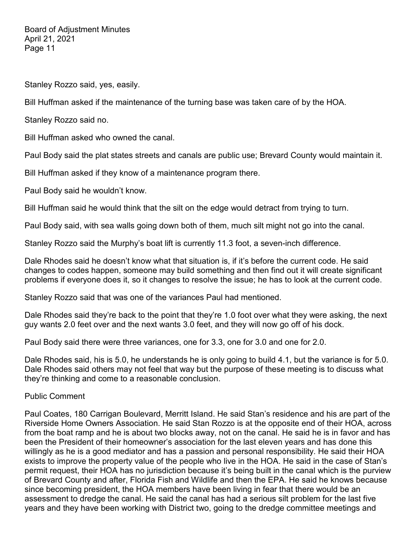Stanley Rozzo said, yes, easily.

Bill Huffman asked if the maintenance of the turning base was taken care of by the HOA.

Stanley Rozzo said no.

Bill Huffman asked who owned the canal.

Paul Body said the plat states streets and canals are public use; Brevard County would maintain it.

Bill Huffman asked if they know of a maintenance program there.

Paul Body said he wouldn't know.

Bill Huffman said he would think that the silt on the edge would detract from trying to turn.

Paul Body said, with sea walls going down both of them, much silt might not go into the canal.

Stanley Rozzo said the Murphy's boat lift is currently 11.3 foot, a seven-inch difference.

Dale Rhodes said he doesn't know what that situation is, if it's before the current code. He said changes to codes happen, someone may build something and then find out it will create significant problems if everyone does it, so it changes to resolve the issue; he has to look at the current code.

Stanley Rozzo said that was one of the variances Paul had mentioned.

Dale Rhodes said they're back to the point that they're 1.0 foot over what they were asking, the next guy wants 2.0 feet over and the next wants 3.0 feet, and they will now go off of his dock.

Paul Body said there were three variances, one for 3.3, one for 3.0 and one for 2.0.

Dale Rhodes said, his is 5.0, he understands he is only going to build 4.1, but the variance is for 5.0. Dale Rhodes said others may not feel that way but the purpose of these meeting is to discuss what they're thinking and come to a reasonable conclusion.

Public Comment

Paul Coates, 180 Carrigan Boulevard, Merritt Island. He said Stan's residence and his are part of the Riverside Home Owners Association. He said Stan Rozzo is at the opposite end of their HOA, across from the boat ramp and he is about two blocks away, not on the canal. He said he is in favor and has been the President of their homeowner's association for the last eleven years and has done this willingly as he is a good mediator and has a passion and personal responsibility. He said their HOA exists to improve the property value of the people who live in the HOA. He said in the case of Stan's permit request, their HOA has no jurisdiction because it's being built in the canal which is the purview of Brevard County and after, Florida Fish and Wildlife and then the EPA. He said he knows because since becoming president, the HOA members have been living in fear that there would be an assessment to dredge the canal. He said the canal has had a serious silt problem for the last five years and they have been working with District two, going to the dredge committee meetings and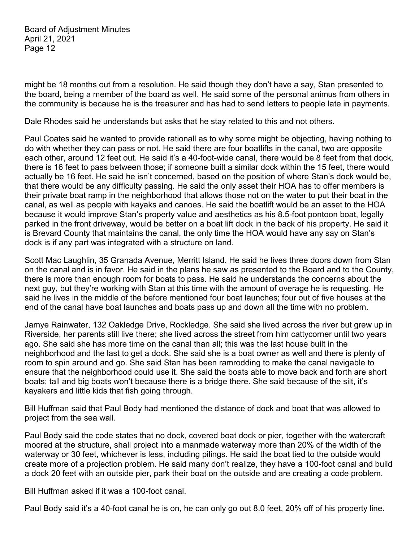might be 18 months out from a resolution. He said though they don't have a say, Stan presented to the board, being a member of the board as well. He said some of the personal animus from others in the community is because he is the treasurer and has had to send letters to people late in payments.

Dale Rhodes said he understands but asks that he stay related to this and not others.

Paul Coates said he wanted to provide rationall as to why some might be objecting, having nothing to do with whether they can pass or not. He said there are four boatlifts in the canal, two are opposite each other, around 12 feet out. He said it's a 40-foot-wide canal, there would be 8 feet from that dock, there is 16 feet to pass between those; if someone built a similar dock within the 15 feet, there would actually be 16 feet. He said he isn't concerned, based on the position of where Stan's dock would be, that there would be any difficulty passing. He said the only asset their HOA has to offer members is their private boat ramp in the neighborhood that allows those not on the water to put their boat in the canal, as well as people with kayaks and canoes. He said the boatlift would be an asset to the HOA because it would improve Stan's property value and aesthetics as his 8.5-foot pontoon boat, legally parked in the front driveway, would be better on a boat lift dock in the back of his property. He said it is Brevard County that maintains the canal, the only time the HOA would have any say on Stan's dock is if any part was integrated with a structure on land.

Scott Mac Laughlin, 35 Granada Avenue, Merritt Island. He said he lives three doors down from Stan on the canal and is in favor. He said in the plans he saw as presented to the Board and to the County, there is more than enough room for boats to pass. He said he understands the concerns about the next guy, but they're working with Stan at this time with the amount of overage he is requesting. He said he lives in the middle of the before mentioned four boat launches; four out of five houses at the end of the canal have boat launches and boats pass up and down all the time with no problem.

Jamye Rainwater, 132 Oakledge Drive, Rockledge. She said she lived across the river but grew up in Riverside, her parents still live there; she lived across the street from him cattycorner until two years ago. She said she has more time on the canal than all; this was the last house built in the neighborhood and the last to get a dock. She said she is a boat owner as well and there is plenty of room to spin around and go. She said Stan has been ramrodding to make the canal navigable to ensure that the neighborhood could use it. She said the boats able to move back and forth are short boats; tall and big boats won't because there is a bridge there. She said because of the silt, it's kayakers and little kids that fish going through.

Bill Huffman said that Paul Body had mentioned the distance of dock and boat that was allowed to project from the sea wall.

Paul Body said the code states that no dock, covered boat dock or pier, together with the watercraft moored at the structure, shall project into a manmade waterway more than 20% of the width of the waterway or 30 feet, whichever is less, including pilings. He said the boat tied to the outside would create more of a projection problem. He said many don't realize, they have a 100-foot canal and build a dock 20 feet with an outside pier, park their boat on the outside and are creating a code problem.

Bill Huffman asked if it was a 100-foot canal.

Paul Body said it's a 40-foot canal he is on, he can only go out 8.0 feet, 20% off of his property line.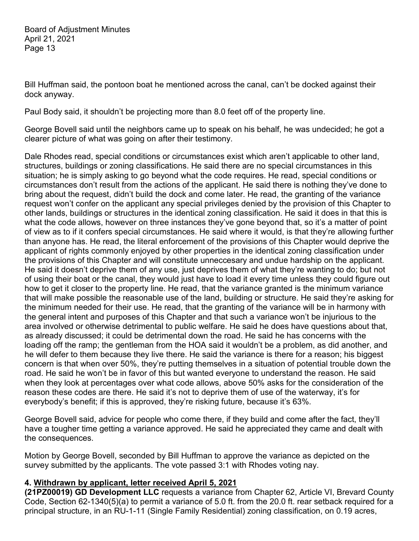Bill Huffman said, the pontoon boat he mentioned across the canal, can't be docked against their dock anyway.

Paul Body said, it shouldn't be projecting more than 8.0 feet off of the property line.

George Bovell said until the neighbors came up to speak on his behalf, he was undecided; he got a clearer picture of what was going on after their testimony.

Dale Rhodes read, special conditions or circumstances exist which aren't applicable to other land, structures, buildings or zoning classifications. He said there are no special circumstances in this situation; he is simply asking to go beyond what the code requires. He read, special conditions or circumstances don't result from the actions of the applicant. He said there is nothing they've done to bring about the request, didn't build the dock and come later. He read, the granting of the variance request won't confer on the applicant any special privileges denied by the provision of this Chapter to other lands, buildings or structures in the identical zoning classification. He said it does in that this is what the code allows, however on three instances they've gone beyond that, so it's a matter of point of view as to if it confers special circumstances. He said where it would, is that they're allowing further than anyone has. He read, the literal enforcement of the provisions of this Chapter would deprive the applicant of rights commonly enjoyed by other properties in the identical zoning classification under the provisions of this Chapter and will constitute unneccesary and undue hardship on the applicant. He said it doesn't deprive them of any use, just deprives them of what they're wanting to do; but not of using their boat or the canal, they would just have to load it every time unless they could figure out how to get it closer to the property line. He read, that the variance granted is the minimum variance that will make possible the reasonable use of the land, building or structure. He said they're asking for the minimum needed for their use. He read, that the granting of the variance will be in harmony with the general intent and purposes of this Chapter and that such a variance won't be injurious to the area involved or otherwise detrimental to public welfare. He said he does have questions about that, as already discussed; it could be detrimental down the road. He said he has concerns with the loading off the ramp; the gentleman from the HOA said it wouldn't be a problem, as did another, and he will defer to them because they live there. He said the variance is there for a reason; his biggest concern is that when over 50%, they're putting themselves in a situation of potential trouble down the road. He said he won't be in favor of this but wanted everyone to understand the reason. He said when they look at percentages over what code allows, above 50% asks for the consideration of the reason these codes are there. He said it's not to deprive them of use of the waterway, it's for everybody's benefit; if this is approved, they're risking future, because it's 63%.

George Bovell said, advice for people who come there, if they build and come after the fact, they'll have a tougher time getting a variance approved. He said he appreciated they came and dealt with the consequences.

Motion by George Bovell, seconded by Bill Huffman to approve the variance as depicted on the survey submitted by the applicants. The vote passed 3:1 with Rhodes voting nay.

## **4. Withdrawn by applicant, letter received April 5, 2021**

**(21PZ00019) GD Development LLC** requests a variance from Chapter 62, Article VI, Brevard County Code, Section 62-1340(5)(a) to permit a variance of 5.0 ft. from the 20.0 ft. rear setback required for a principal structure, in an RU-1-11 (Single Family Residential) zoning classification, on 0.19 acres,